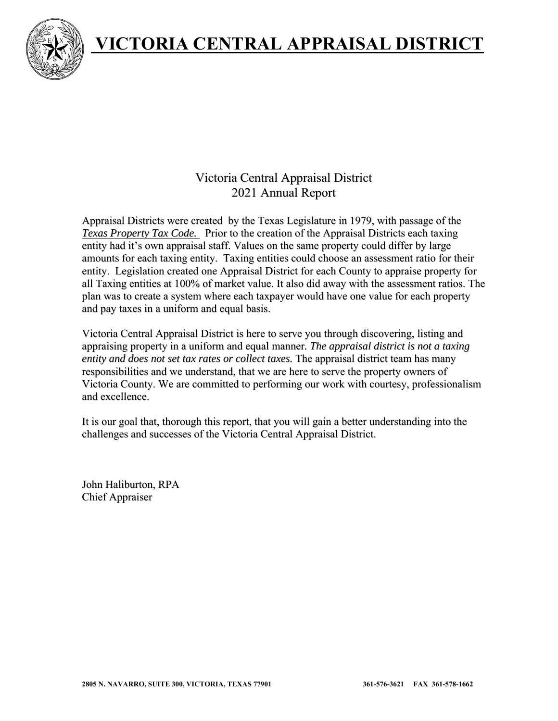



## Victoria Central Appraisal District 2021 Annual Report

Appraisal Districts were created by the Texas Legislature in 1979, with passage of the *Texas Property Tax Code.* Prior to the creation of the Appraisal Districts each taxing entity had it's own appraisal staff. Values on the same property could differ by large amounts for each taxing entity. Taxing entities could choose an assessment ratio for their entity. Legislation created one Appraisal District for each County to appraise property for all Taxing entities at 100% of market value. It also did away with the assessment ratios. The plan was to create a system where each taxpayer would have one value for each property and pay taxes in a uniform and equal basis.

Victoria Central Appraisal District is here to serve you through discovering, listing and appraising property in a uniform and equal manner*. The appraisal district is not a taxing entity and does not set tax rates or collect taxes.* The appraisal district team has many responsibilities and we understand, that we are here to serve the property owners of Victoria County. We are committed to performing our work with courtesy, professionalism and excellence.

It is our goal that, thorough this report, that you will gain a better understanding into the challenges and successes of the Victoria Central Appraisal District.

John Haliburton, RPA Chief Appraiser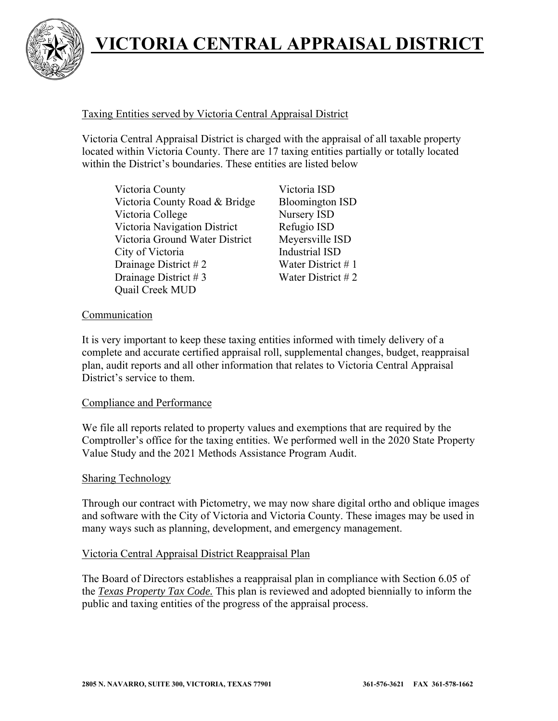

### Taxing Entities served by Victoria Central Appraisal District

Victoria Central Appraisal District is charged with the appraisal of all taxable property located within Victoria County. There are 17 taxing entities partially or totally located within the District's boundaries. These entities are listed below

Victoria County Victoria ISD Victoria County Road & Bridge Bloomington ISD Victoria College Nursery ISD Victoria Navigation District Refugio ISD Victoria Ground Water District Meyersville ISD City of Victoria **Industrial ISD** Drainage District # 2 Water District # 1 Drainage District # 3 Water District # 2 Quail Creek MUD

### Communication

It is very important to keep these taxing entities informed with timely delivery of a complete and accurate certified appraisal roll, supplemental changes, budget, reappraisal plan, audit reports and all other information that relates to Victoria Central Appraisal District's service to them.

### Compliance and Performance

We file all reports related to property values and exemptions that are required by the Comptroller's office for the taxing entities. We performed well in the 2020 State Property Value Study and the 2021 Methods Assistance Program Audit.

#### Sharing Technology

Through our contract with Pictometry, we may now share digital ortho and oblique images and software with the City of Victoria and Victoria County. These images may be used in many ways such as planning, development, and emergency management.

### Victoria Central Appraisal District Reappraisal Plan

The Board of Directors establishes a reappraisal plan in compliance with Section 6.05 of the *Texas Property Tax Code.* This plan is reviewed and adopted biennially to inform the public and taxing entities of the progress of the appraisal process.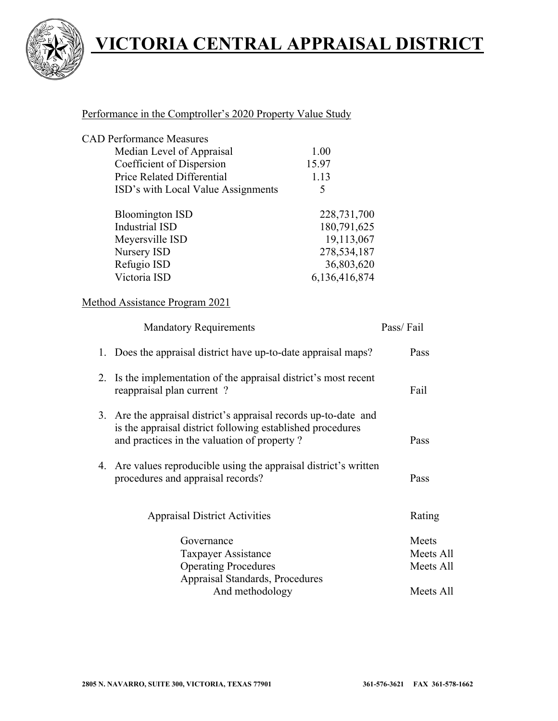

### Performance in the Comptroller's 2020 Property Value Study

| <b>CAD Performance Measures</b>    |               |
|------------------------------------|---------------|
| Median Level of Appraisal          | 1.00          |
| Coefficient of Dispersion          | 15.97         |
| Price Related Differential         | 1.13          |
| ISD's with Local Value Assignments | 5             |
| <b>Bloomington ISD</b>             | 228,731,700   |
| <b>Industrial ISD</b>              | 180,791,625   |
| Meyersville ISD                    | 19,113,067    |
| Nursery ISD                        | 278,534,187   |
| Refugio ISD                        | 36,803,620    |
| Victoria ISD                       | 6,136,416,874 |

### Method Assistance Program 2021

| <b>Mandatory Requirements</b>                                                                                                                                                 | Pass/Fail |
|-------------------------------------------------------------------------------------------------------------------------------------------------------------------------------|-----------|
| 1. Does the appraisal district have up-to-date appraisal maps?                                                                                                                | Pass      |
| 2. Is the implementation of the appraisal district's most recent<br>reappraisal plan current?                                                                                 | Fail      |
| 3. Are the appraisal district's appraisal records up-to-date and<br>is the appraisal district following established procedures<br>and practices in the valuation of property? | Pass      |
| 4. Are values reproducible using the appraisal district's written<br>procedures and appraisal records?                                                                        | Pass      |
| <b>Appraisal District Activities</b>                                                                                                                                          | Rating    |
| Governance                                                                                                                                                                    | Meets     |
| Taxpayer Assistance                                                                                                                                                           | Meets All |
| <b>Operating Procedures</b>                                                                                                                                                   | Meets All |
| Appraisal Standards, Procedures                                                                                                                                               |           |
| And methodology                                                                                                                                                               | Meets All |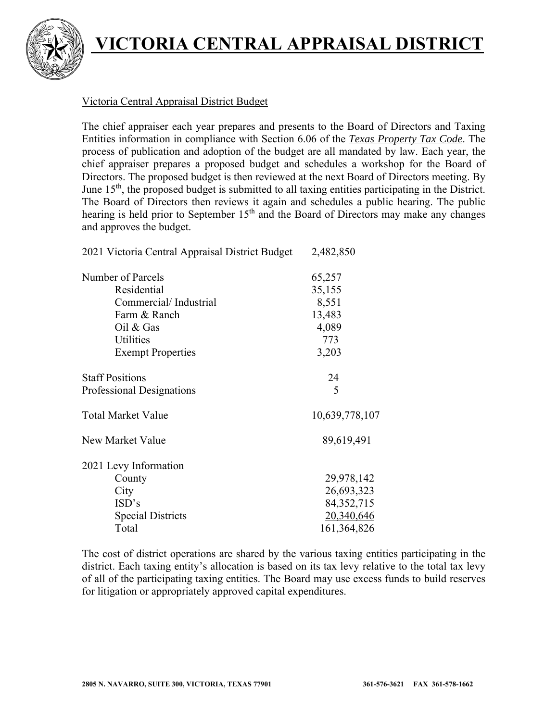

### Victoria Central Appraisal District Budget

The chief appraiser each year prepares and presents to the Board of Directors and Taxing Entities information in compliance with Section 6.06 of the *Texas Property Tax Code*. The process of publication and adoption of the budget are all mandated by law. Each year, the chief appraiser prepares a proposed budget and schedules a workshop for the Board of Directors. The proposed budget is then reviewed at the next Board of Directors meeting. By June  $15<sup>th</sup>$ , the proposed budget is submitted to all taxing entities participating in the District. The Board of Directors then reviews it again and schedules a public hearing. The public hearing is held prior to September 15<sup>th</sup> and the Board of Directors may make any changes and approves the budget.

| 2021 Victoria Central Appraisal District Budget | 2,482,850      |
|-------------------------------------------------|----------------|
| Number of Parcels                               | 65,257         |
| Residential                                     | 35,155         |
| Commercial/Industrial                           | 8,551          |
| Farm & Ranch                                    | 13,483         |
| Oil & Gas                                       | 4,089          |
| Utilities                                       | 773            |
| <b>Exempt Properties</b>                        | 3,203          |
| <b>Staff Positions</b>                          | 24             |
| Professional Designations                       | 5              |
| <b>Total Market Value</b>                       | 10,639,778,107 |
| New Market Value                                | 89,619,491     |
| 2021 Levy Information                           |                |
| County                                          | 29,978,142     |
| City                                            | 26,693,323     |
| ISD's                                           | 84, 352, 715   |
| <b>Special Districts</b>                        | 20,340,646     |
| Total                                           | 161,364,826    |

The cost of district operations are shared by the various taxing entities participating in the district. Each taxing entity's allocation is based on its tax levy relative to the total tax levy of all of the participating taxing entities. The Board may use excess funds to build reserves for litigation or appropriately approved capital expenditures.